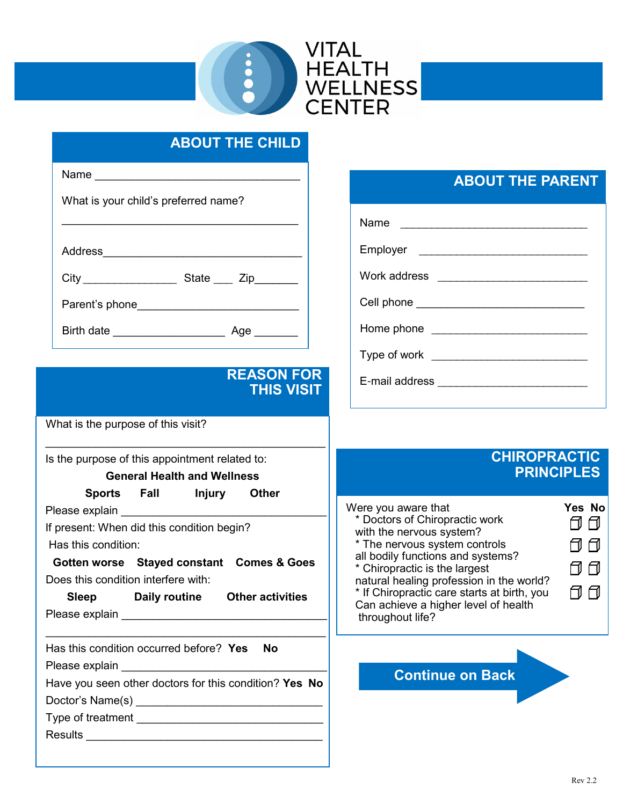

## ABOUT THE CHILD

| Is the purpose of this appointment related to:<br>General Health and Wellness                                                                                   |  |
|-----------------------------------------------------------------------------------------------------------------------------------------------------------------|--|
| What is the purpose of this visit?                                                                                                                              |  |
| <b>REASON FOR</b><br><b>THIS VISIT</b>                                                                                                                          |  |
|                                                                                                                                                                 |  |
|                                                                                                                                                                 |  |
| Parent's phone_______________________________                                                                                                                   |  |
|                                                                                                                                                                 |  |
| Address____<br><u> 1989 - Johann John Stein, mars an deus Amerikaansk kommunister (</u>                                                                         |  |
| What is your child's preferred name?<br>the control of the control of the control of the control of the control of the control of the control of the control of |  |
| Name $\frac{1}{2}$                                                                                                                                              |  |
|                                                                                                                                                                 |  |

### REASON FOR THIS VISIT

#### General Health and Wellness

Sports Fall Injury Other

Please explain

If present: When did this condition begin?

Has this condition:

Gotten worse Stayed constant Comes & Goes Does this condition interfere with:

| <b>Sleep</b>   | Daily routine | <b>Other activities</b> |  |
|----------------|---------------|-------------------------|--|
| Please explain |               |                         |  |

 $\mathcal{L}_\text{max}$  , and the contract of the contract of the contract of the contract of the contract of the contract of the contract of the contract of the contract of the contract of the contract of the contract of the contr

| Has this condition occurred before? Yes<br>Nο          |  |  |  |
|--------------------------------------------------------|--|--|--|
| Please explain                                         |  |  |  |
| Have you seen other doctors for this condition? Yes No |  |  |  |
| Doctor's Name(s) ____                                  |  |  |  |
| Type of treatment                                      |  |  |  |
| <b>Results</b>                                         |  |  |  |

## ABOUT THE PARENT

Name \_\_\_\_\_\_\_\_\_\_\_\_\_\_\_\_\_\_\_\_\_\_\_\_\_\_\_\_\_\_

Employer \_\_\_\_\_\_\_\_\_\_\_\_\_\_\_\_\_\_\_\_\_\_\_\_\_\_\_

Work address \_\_\_\_\_\_\_\_\_\_\_\_\_\_\_\_\_\_\_\_\_\_\_\_

Home phone \_\_\_\_\_\_\_\_\_\_\_\_\_\_\_\_\_\_\_\_\_\_\_\_\_

Type of work \_\_\_\_\_\_\_\_\_\_\_\_\_\_\_\_\_\_\_\_\_\_\_\_\_

E-mail address \_\_\_\_\_\_\_\_\_\_\_\_\_\_\_\_\_\_\_\_\_\_\_\_

### CHIROPRACTIC **PRINCIPLES**



Cell phone \_\_\_\_\_\_\_\_\_\_\_\_\_\_\_\_\_\_\_\_\_\_\_\_\_\_\_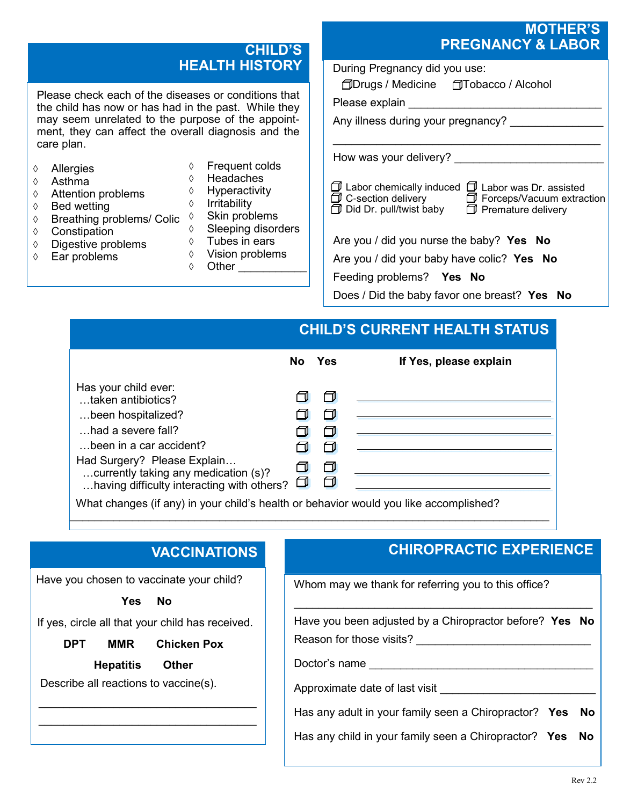### CHILD'S HEALTH HISTORY

Please check each of the diseases or conditions that the child has now or has had in the past. While they may seem unrelated to the purpose of the appointment, they can affect the overall diagnosis and the care plan.

- Allergies
- $\Diamond$  Asthma
- **♦ Attention problems**
- $\Diamond$  Bed wetting
- $\Diamond$  Breathing problems/ Colic  $\Diamond$  Skin problems
- ♦ Constipation
- $\lozenge$  Digestive problems
- $\Diamond$  Ear problems
- Frequent colds ♦ Headaches
- ♦ Hyperactivity
- $\diamond$  Irritability
	-
- Sleeping disorders
- $\Diamond$  Tubes in ears
- $\Diamond$  Vision problems
- $\Diamond$  Other

### MOTHER'S PREGNANCY & LABOR

Does / Did the baby favor one breast? Yes No

# CHILD'S CURRENT HEALTH STATUS

|                                                                                                                                                                                                                                        | No.    | <b>Yes</b>                      | If Yes, please explain        |
|----------------------------------------------------------------------------------------------------------------------------------------------------------------------------------------------------------------------------------------|--------|---------------------------------|-------------------------------|
| Has your child ever:<br>taken antibiotics?<br>been hospitalized?<br>had a severe fall?<br>been in a car accident?<br>Had Surgery? Please Explain<br>currently taking any medication (s)?<br>having difficulty interacting with others? | $\Box$ | ⊡<br>$\Box$<br>ℿ<br>$\Box$<br>0 |                               |
|                                                                                                                                                                                                                                        |        |                                 | $\cdots$<br>$\cdots$ $\cdots$ |

 $\mathcal{L}_\text{max}$  , and the contract of the contract of the contract of the contract of the contract of the contract of

What changes (if any) in your child's health or behavior would you like accomplished?

# **VACCINATIONS**

Have you chosen to vaccinate your child?

Yes No

If yes, circle all that your child has received.

DPT MMR Chicken Pox

Hepatitis Other

\_\_\_\_\_\_\_\_\_\_\_\_\_\_\_\_\_\_\_\_\_\_\_\_\_\_\_\_\_\_\_\_\_\_\_ \_\_\_\_\_\_\_\_\_\_\_\_\_\_\_\_\_\_\_\_\_\_\_\_\_\_\_\_\_\_\_\_\_\_\_

Describe all reactions to vaccine(s).

## CHIROPRACTIC EXPERIENCE

Whom may we thank for referring you to this office?

| Have you been adjusted by a Chiropractor before? Yes No<br>Reason for those visits? |  |
|-------------------------------------------------------------------------------------|--|
| Doctor's name _____                                                                 |  |
| Approximate date of last visit                                                      |  |
| Has any adult in your family seen a Chiropractor? Yes No                            |  |
| Has any child in your family seen a Chiropractor? Yes No                            |  |
|                                                                                     |  |